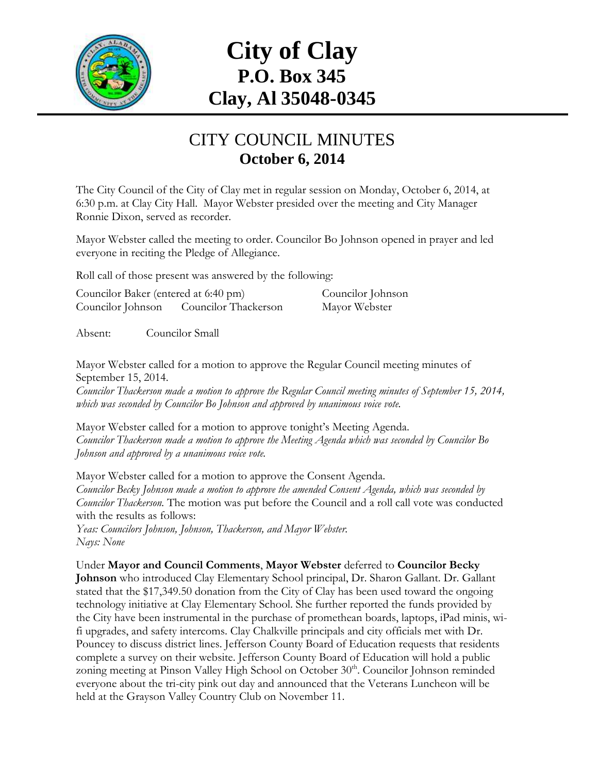

# **City of Clay P.O. Box 345 Clay, Al 35048-0345**

### CITY COUNCIL MINUTES **October 6, 2014**

The City Council of the City of Clay met in regular session on Monday, October 6, 2014, at 6:30 p.m. at Clay City Hall. Mayor Webster presided over the meeting and City Manager Ronnie Dixon, served as recorder.

Mayor Webster called the meeting to order. Councilor Bo Johnson opened in prayer and led everyone in reciting the Pledge of Allegiance.

Roll call of those present was answered by the following:

| Councilor Baker (entered at 6:40 pm) |                      | Councilor Johnson |
|--------------------------------------|----------------------|-------------------|
| Councilor Johnson                    | Councilor Thackerson | Mayor Webster     |

Absent: Councilor Small

Mayor Webster called for a motion to approve the Regular Council meeting minutes of September 15, 2014.

*Councilor Thackerson made a motion to approve the Regular Council meeting minutes of September 15, 2014, which was seconded by Councilor Bo Johnson and approved by unanimous voice vote.*

Mayor Webster called for a motion to approve tonight's Meeting Agenda. *Councilor Thackerson made a motion to approve the Meeting Agenda which was seconded by Councilor Bo Johnson and approved by a unanimous voice vote.*

Mayor Webster called for a motion to approve the Consent Agenda. *Councilor Becky Johnson made a motion to approve the amended Consent Agenda, which was seconded by Councilor Thackerson.* The motion was put before the Council and a roll call vote was conducted with the results as follows:

*Yeas: Councilors Johnson, Johnson, Thackerson, and Mayor Webster. Nays: None*

Under **Mayor and Council Comments**, **Mayor Webster** deferred to **Councilor Becky Johnson** who introduced Clay Elementary School principal, Dr. Sharon Gallant. Dr. Gallant stated that the \$17,349.50 donation from the City of Clay has been used toward the ongoing technology initiative at Clay Elementary School. She further reported the funds provided by the City have been instrumental in the purchase of promethean boards, laptops, iPad minis, wifi upgrades, and safety intercoms. Clay Chalkville principals and city officials met with Dr. Pouncey to discuss district lines. Jefferson County Board of Education requests that residents complete a survey on their website. Jefferson County Board of Education will hold a public zoning meeting at Pinson Valley High School on October 30<sup>th</sup>. Councilor Johnson reminded everyone about the tri-city pink out day and announced that the Veterans Luncheon will be held at the Grayson Valley Country Club on November 11.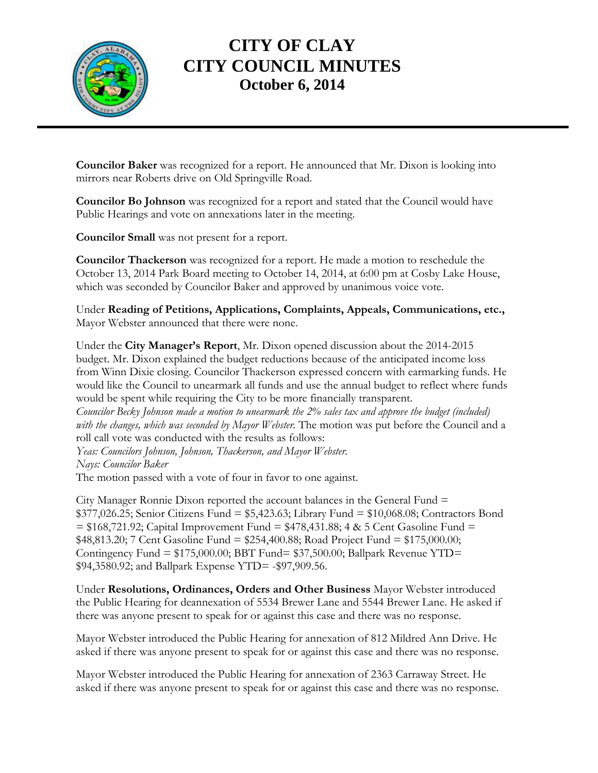

## **CITY OF CLAY CITY COUNCIL MINUTES October 6, 2014**

**Councilor Baker** was recognized for a report. He announced that Mr. Dixon is looking into mirrors near Roberts drive on Old Springville Road.

**Councilor Bo Johnson** was recognized for a report and stated that the Council would have Public Hearings and vote on annexations later in the meeting.

**Councilor Small** was not present for a report.

**Councilor Thackerson** was recognized for a report. He made a motion to reschedule the October 13, 2014 Park Board meeting to October 14, 2014, at 6:00 pm at Cosby Lake House, which was seconded by Councilor Baker and approved by unanimous voice vote.

Under **Reading of Petitions, Applications, Complaints, Appeals, Communications, etc.,** Mayor Webster announced that there were none.

Under the **City Manager's Report**, Mr. Dixon opened discussion about the 2014-2015 budget. Mr. Dixon explained the budget reductions because of the anticipated income loss from Winn Dixie closing. Councilor Thackerson expressed concern with earmarking funds. He would like the Council to unearmark all funds and use the annual budget to reflect where funds would be spent while requiring the City to be more financially transparent.

*Councilor Becky Johnson made a motion to unearmark the 2% sales tax and approve the budget (included)*  with the changes, which was seconded by Mayor Webster. The motion was put before the Council and a roll call vote was conducted with the results as follows:

*Yeas: Councilors Johnson, Johnson, Thackerson, and Mayor Webster. Nays: Councilor Baker*

The motion passed with a vote of four in favor to one against.

City Manager Ronnie Dixon reported the account balances in the General Fund  $=$ \$377,026.25; Senior Citizens Fund = \$5,423.63; Library Fund = \$10,068.08; Contractors Bond  $= $168,721.92$ ; Capital Improvement Fund  $= $478,431.88$ ; 4 & 5 Cent Gasoline Fund  $=$ \$48,813.20; 7 Cent Gasoline Fund = \$254,400.88; Road Project Fund = \$175,000.00; Contingency Fund =  $$175,000.00; BBT$  Fund=  $$37,500.00; Ballpark$  Revenue YTD= \$94,3580.92; and Ballpark Expense YTD= -\$97,909.56.

Under **Resolutions, Ordinances, Orders and Other Business** Mayor Webster introduced the Public Hearing for deannexation of 5534 Brewer Lane and 5544 Brewer Lane. He asked if there was anyone present to speak for or against this case and there was no response.

Mayor Webster introduced the Public Hearing for annexation of 812 Mildred Ann Drive. He asked if there was anyone present to speak for or against this case and there was no response.

Mayor Webster introduced the Public Hearing for annexation of 2363 Carraway Street. He asked if there was anyone present to speak for or against this case and there was no response.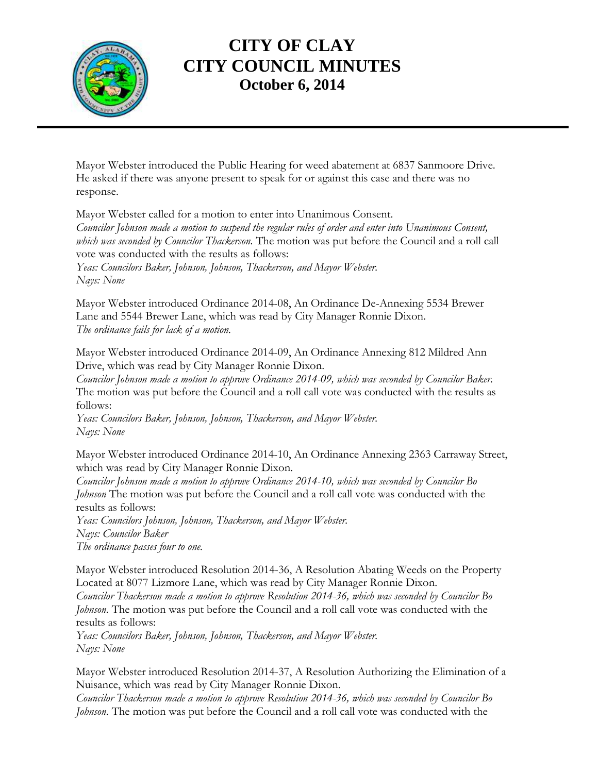

## **CITY OF CLAY CITY COUNCIL MINUTES October 6, 2014**

Mayor Webster introduced the Public Hearing for weed abatement at 6837 Sanmoore Drive. He asked if there was anyone present to speak for or against this case and there was no response.

Mayor Webster called for a motion to enter into Unanimous Consent.

*Councilor Johnson made a motion to suspend the regular rules of order and enter into Unanimous Consent, which was seconded by Councilor Thackerson.* The motion was put before the Council and a roll call vote was conducted with the results as follows: *Yeas: Councilors Baker, Johnson, Johnson, Thackerson, and Mayor Webster. Nays: None*

Mayor Webster introduced Ordinance 2014-08, An Ordinance De-Annexing 5534 Brewer Lane and 5544 Brewer Lane, which was read by City Manager Ronnie Dixon. *The ordinance fails for lack of a motion.*

Mayor Webster introduced Ordinance 2014-09, An Ordinance Annexing 812 Mildred Ann Drive, which was read by City Manager Ronnie Dixon.

*Councilor Johnson made a motion to approve Ordinance 2014-09, which was seconded by Councilor Baker.*  The motion was put before the Council and a roll call vote was conducted with the results as follows:

*Yeas: Councilors Baker, Johnson, Johnson, Thackerson, and Mayor Webster. Nays: None*

Mayor Webster introduced Ordinance 2014-10, An Ordinance Annexing 2363 Carraway Street, which was read by City Manager Ronnie Dixon.

*Councilor Johnson made a motion to approve Ordinance 2014-10, which was seconded by Councilor Bo Johnson* The motion was put before the Council and a roll call vote was conducted with the results as follows:

*Yeas: Councilors Johnson, Johnson, Thackerson, and Mayor Webster. Nays: Councilor Baker The ordinance passes four to one.*

Mayor Webster introduced Resolution 2014-36, A Resolution Abating Weeds on the Property Located at 8077 Lizmore Lane, which was read by City Manager Ronnie Dixon.

*Councilor Thackerson made a motion to approve Resolution 2014-36, which was seconded by Councilor Bo Johnson.* The motion was put before the Council and a roll call vote was conducted with the results as follows:

*Yeas: Councilors Baker, Johnson, Johnson, Thackerson, and Mayor Webster. Nays: None*

Mayor Webster introduced Resolution 2014-37, A Resolution Authorizing the Elimination of a Nuisance, which was read by City Manager Ronnie Dixon.

*Councilor Thackerson made a motion to approve Resolution 2014-36, which was seconded by Councilor Bo Johnson.* The motion was put before the Council and a roll call vote was conducted with the